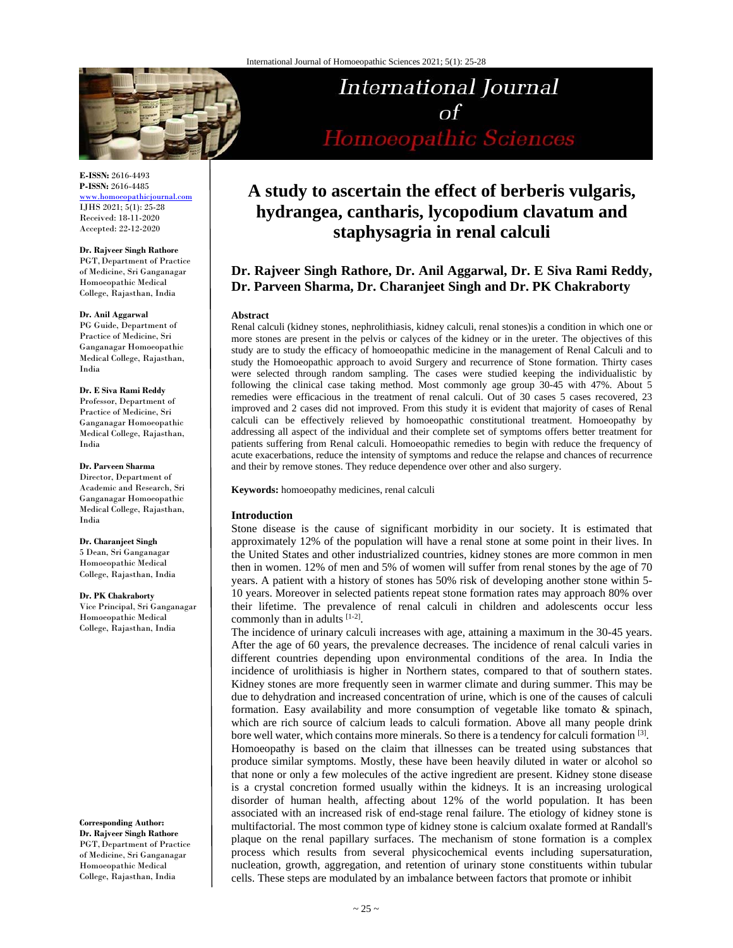

**E-ISSN:** 2616-4493 **P-ISSN:** 2616-4485 www.homoeopathicjournal.com

IJHS 2021; 5(1): 25-28 Received: 18-11-2020 Accepted: 22-12-2020

#### **Dr. Rajveer Singh Rathore**

PGT,Department of Practice of Medicine, Sri Ganganagar Homoeopathic Medical College, Rajasthan, India

#### **Dr. Anil Aggarwal**

PG Guide, Department of Practice of Medicine, Sri Ganganagar Homoeopathic Medical College, Rajasthan, India

#### **Dr. E Siva Rami Reddy**

Professor, Department of Practice of Medicine, Sri Ganganagar Homoeopathic Medical College, Rajasthan, India

#### **Dr. Parveen Sharma**

Director, Department of Academic and Research, Sri Ganganagar Homoeopathic Medical College, Rajasthan, India

#### **Dr. Charanjeet Singh**

5 Dean, Sri Ganganagar Homoeopathic Medical College, Rajasthan, India

#### **Dr. PK Chakraborty** Vice Principal, Sri Ganganagar

Homoeopathic Medical College, Rajasthan, India

**Corresponding Author: Dr. Rajveer Singh Rathore**  PGT, Department of Practice of Medicine, Sri Ganganagar Homoeopathic Medical College, Rajasthan, India

# International Journal  $\sigma f$ Homoeopathic Sciences

# **A study to ascertain the effect of berberis vulgaris, hydrangea, cantharis, lycopodium clavatum and staphysagria in renal calculi**

# **Dr. Rajveer Singh Rathore, Dr. Anil Aggarwal, Dr. E Siva Rami Reddy, Dr. Parveen Sharma, Dr. Charanjeet Singh and Dr. PK Chakraborty**

#### **Abstract**

Renal calculi (kidney stones, nephrolithiasis, kidney calculi, renal stones)is a condition in which one or more stones are present in the pelvis or calyces of the kidney or in the ureter. The objectives of this study are to study the efficacy of homoeopathic medicine in the management of Renal Calculi and to study the Homoeopathic approach to avoid Surgery and recurrence of Stone formation. Thirty cases were selected through random sampling. The cases were studied keeping the individualistic by following the clinical case taking method. Most commonly age group 30-45 with 47%. About 5 remedies were efficacious in the treatment of renal calculi. Out of 30 cases 5 cases recovered, 23 improved and 2 cases did not improved. From this study it is evident that majority of cases of Renal calculi can be effectively relieved by homoeopathic constitutional treatment. Homoeopathy by addressing all aspect of the individual and their complete set of symptoms offers better treatment for patients suffering from Renal calculi. Homoeopathic remedies to begin with reduce the frequency of acute exacerbations, reduce the intensity of symptoms and reduce the relapse and chances of recurrence and their by remove stones. They reduce dependence over other and also surgery.

**Keywords:** homoeopathy medicines, renal calculi

## **Introduction**

Stone disease is the cause of significant morbidity in our society. It is estimated that approximately 12% of the population will have a renal stone at some point in their lives. In the United States and other industrialized countries, kidney stones are more common in men then in women. 12% of men and 5% of women will suffer from renal stones by the age of 70 years. A patient with a history of stones has 50% risk of developing another stone within 5- 10 years. Moreover in selected patients repeat stone formation rates may approach 80% over their lifetime. The prevalence of renal calculi in children and adolescents occur less commonly than in adults [1-2].

The incidence of urinary calculi increases with age, attaining a maximum in the 30-45 years. After the age of 60 years, the prevalence decreases. The incidence of renal calculi varies in different countries depending upon environmental conditions of the area. In India the incidence of urolithiasis is higher in Northern states, compared to that of southern states. Kidney stones are more frequently seen in warmer climate and during summer. This may be due to dehydration and increased concentration of urine, which is one of the causes of calculi formation. Easy availability and more consumption of vegetable like tomato & spinach, which are rich source of calcium leads to calculi formation. Above all many people drink bore well water, which contains more minerals. So there is a tendency for calculi formation [3]. Homoeopathy is based on the claim that illnesses can be treated using substances that produce similar symptoms. Mostly, these have been heavily diluted in water or alcohol so that none or only a few molecules of the active ingredient are present. Kidney stone disease is a crystal concretion formed usually within the kidneys. It is an increasing urological disorder of human health, affecting about 12% of the world population. It has been associated with an increased risk of end-stage renal failure. The etiology of kidney stone is multifactorial. The most common type of kidney stone is calcium oxalate formed at Randall's plaque on the renal papillary surfaces. The mechanism of stone formation is a complex process which results from several physicochemical events including supersaturation, nucleation, growth, aggregation, and retention of urinary stone constituents within tubular cells. These steps are modulated by an imbalance between factors that promote or inhibit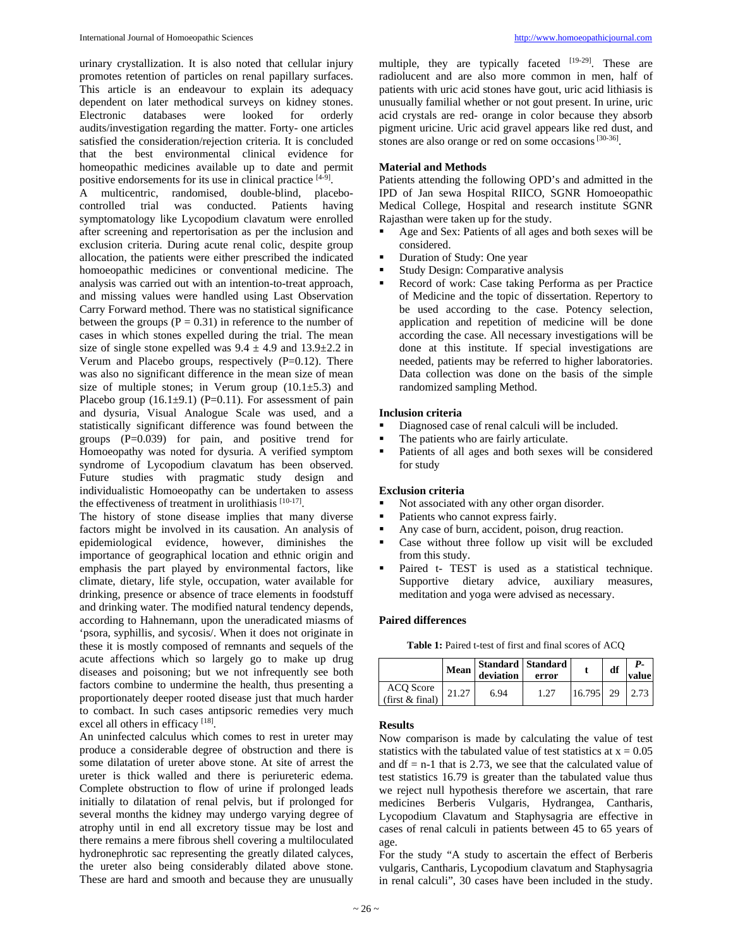urinary crystallization. It is also noted that cellular injury promotes retention of particles on renal papillary surfaces. This article is an endeavour to explain its adequacy dependent on later methodical surveys on kidney stones. Electronic databases were looked for orderly audits/investigation regarding the matter. Forty- one articles satisfied the consideration/rejection criteria. It is concluded that the best environmental clinical evidence for homeopathic medicines available up to date and permit positive endorsements for its use in clinical practice [4-9].

A multicentric, randomised, double-blind, placebocontrolled trial was conducted. Patients having symptomatology like Lycopodium clavatum were enrolled after screening and repertorisation as per the inclusion and exclusion criteria. During acute renal colic, despite group allocation, the patients were either prescribed the indicated homoeopathic medicines or conventional medicine. The analysis was carried out with an intention-to-treat approach, and missing values were handled using Last Observation Carry Forward method. There was no statistical significance between the groups ( $P = 0.31$ ) in reference to the number of cases in which stones expelled during the trial. The mean size of single stone expelled was  $9.4 \pm 4.9$  and  $13.9 \pm 2.2$  in Verum and Placebo groups, respectively  $(P=0.12)$ . There was also no significant difference in the mean size of mean size of multiple stones; in Verum group  $(10.1 \pm 5.3)$  and Placebo group  $(16.1\pm9.1)$  (P=0.11). For assessment of pain and dysuria, Visual Analogue Scale was used, and a statistically significant difference was found between the groups (P=0.039) for pain, and positive trend for Homoeopathy was noted for dysuria. A verified symptom syndrome of Lycopodium clavatum has been observed. Future studies with pragmatic study design and individualistic Homoeopathy can be undertaken to assess the effectiveness of treatment in urolithiasis [10-17].

The history of stone disease implies that many diverse factors might be involved in its causation. An analysis of epidemiological evidence, however, diminishes the importance of geographical location and ethnic origin and emphasis the part played by environmental factors, like climate, dietary, life style, occupation, water available for drinking, presence or absence of trace elements in foodstuff and drinking water. The modified natural tendency depends, according to Hahnemann, upon the uneradicated miasms of 'psora, syphillis, and sycosis/. When it does not originate in these it is mostly composed of remnants and sequels of the acute affections which so largely go to make up drug diseases and poisoning; but we not infrequently see both factors combine to undermine the health, thus presenting a proportionately deeper rooted disease just that much harder to combact. In such cases antipsoric remedies very much excel all others in efficacy [18].

An uninfected calculus which comes to rest in ureter may produce a considerable degree of obstruction and there is some dilatation of ureter above stone. At site of arrest the ureter is thick walled and there is periureteric edema. Complete obstruction to flow of urine if prolonged leads initially to dilatation of renal pelvis, but if prolonged for several months the kidney may undergo varying degree of atrophy until in end all excretory tissue may be lost and there remains a mere fibrous shell covering a multiloculated hydronephrotic sac representing the greatly dilated calyces, the ureter also being considerably dilated above stone. These are hard and smooth and because they are unusually

multiple, they are typically faceted  $[19-29]$ . These are radiolucent and are also more common in men, half of patients with uric acid stones have gout, uric acid lithiasis is unusually familial whether or not gout present. In urine, uric acid crystals are red- orange in color because they absorb pigment uricine. Uric acid gravel appears like red dust, and stones are also orange or red on some occasions [30-36].

### **Material and Methods**

Patients attending the following OPD's and admitted in the IPD of Jan sewa Hospital RIICO, SGNR Homoeopathic Medical College, Hospital and research institute SGNR Rajasthan were taken up for the study.

- Age and Sex: Patients of all ages and both sexes will be considered.
- Duration of Study: One year
- Study Design: Comparative analysis
- Record of work: Case taking Performa as per Practice of Medicine and the topic of dissertation. Repertory to be used according to the case. Potency selection, application and repetition of medicine will be done according the case. All necessary investigations will be done at this institute. If special investigations are needed, patients may be referred to higher laboratories. Data collection was done on the basis of the simple randomized sampling Method.

# **Inclusion criteria**

- Diagnosed case of renal calculi will be included.
- The patients who are fairly articulate.
- Patients of all ages and both sexes will be considered for study

# **Exclusion criteria**

- Not associated with any other organ disorder.
- Patients who cannot express fairly.
- Any case of burn, accident, poison, drug reaction.
- Case without three follow up visit will be excluded from this study.
- Paired t- TEST is used as a statistical technique. Supportive dietary advice, auxiliary measures, meditation and yoga were advised as necessary.

# **Paired differences**

|  |  | <b>Table 1:</b> Paired t-test of first and final scores of ACQ |  |  |  |  |  |  |  |  |  |
|--|--|----------------------------------------------------------------|--|--|--|--|--|--|--|--|--|
|--|--|----------------------------------------------------------------|--|--|--|--|--|--|--|--|--|

|                              | Mean  | Standard Standard<br>deviation | error |                  | df | value |
|------------------------------|-------|--------------------------------|-------|------------------|----|-------|
| ACQ Score<br>(first & final) | 21.27 | 6.94                           |       | $16.795$ 29 2.73 |    |       |

### **Results**

Now comparison is made by calculating the value of test statistics with the tabulated value of test statistics at  $x = 0.05$ and  $df = n-1$  that is 2.73, we see that the calculated value of test statistics 16.79 is greater than the tabulated value thus we reject null hypothesis therefore we ascertain, that rare medicines Berberis Vulgaris, Hydrangea, Cantharis, Lycopodium Clavatum and Staphysagria are effective in cases of renal calculi in patients between 45 to 65 years of age.

For the study "A study to ascertain the effect of Berberis vulgaris, Cantharis, Lycopodium clavatum and Staphysagria in renal calculi", 30 cases have been included in the study.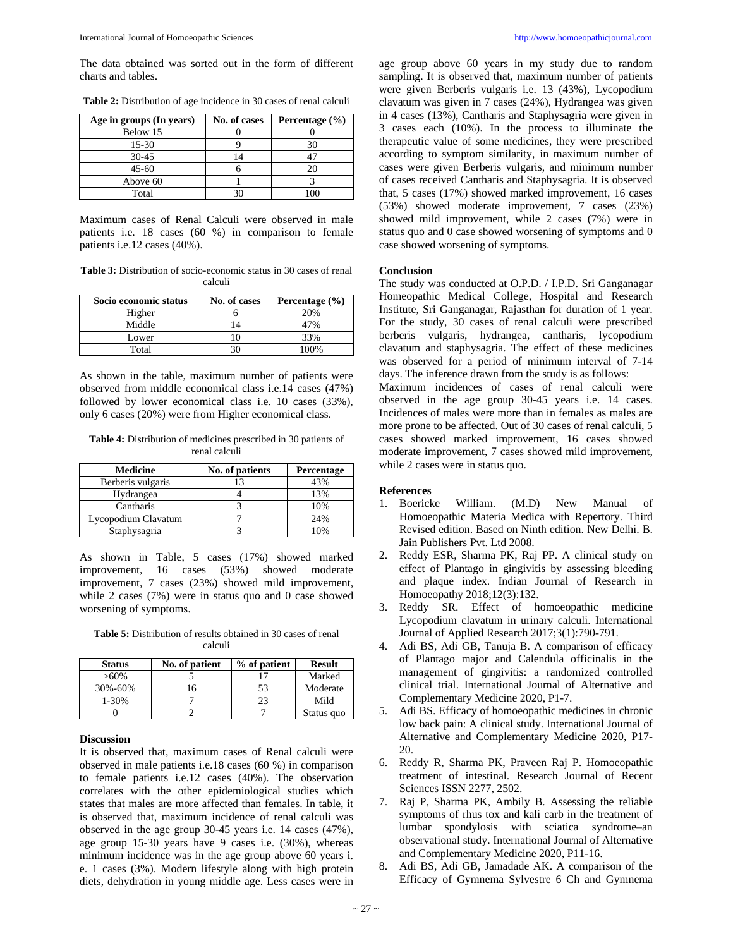The data obtained was sorted out in the form of different charts and tables.

| Age in groups (In years) | No. of cases | Percentage $(\% )$ |
|--------------------------|--------------|--------------------|
| Below 15                 |              |                    |
| $15-30$                  |              | 30                 |
| $30 - 45$                | 4            |                    |
| $45 - 60$                |              |                    |
| Above 60                 |              |                    |
| Total                    |              |                    |

Maximum cases of Renal Calculi were observed in male patients i.e. 18 cases (60 %) in comparison to female patients i.e.12 cases (40%).

**Table 3:** Distribution of socio-economic status in 30 cases of renal calculi

| Socio economic status | No. of cases | Percentage $(\% )$ |
|-----------------------|--------------|--------------------|
| Higher                |              | 20%                |
| Middle                |              |                    |
| Lower                 |              | 33%                |
| Total                 |              | 00%                |

As shown in the table, maximum number of patients were observed from middle economical class i.e.14 cases (47%) followed by lower economical class i.e. 10 cases (33%), only 6 cases (20%) were from Higher economical class.

**Table 4:** Distribution of medicines prescribed in 30 patients of renal calculi

| <b>Medicine</b>     | No. of patients | Percentage |  |
|---------------------|-----------------|------------|--|
| Berberis vulgaris   |                 | 43%        |  |
| Hydrangea           |                 | 13%        |  |
| Cantharis           |                 | 10%        |  |
| Lycopodium Clavatum |                 | 24%        |  |
| Staphysagria        |                 | 10%        |  |

As shown in Table, 5 cases (17%) showed marked improvement, 16 cases (53%) showed moderate improvement, 7 cases (23%) showed mild improvement, while 2 cases (7%) were in status quo and 0 case showed worsening of symptoms.

**Table 5:** Distribution of results obtained in 30 cases of renal calculi

| <b>Status</b> | No. of patient | % of patient | <b>Result</b> |
|---------------|----------------|--------------|---------------|
| $>60\%$       |                |              | Marked        |
| 30%-60%       | 16             | 53           | Moderate      |
| 1-30%         |                | 23           | Mild          |
|               |                |              | Status quo    |

#### **Discussion**

It is observed that, maximum cases of Renal calculi were observed in male patients i.e.18 cases (60 %) in comparison to female patients i.e.12 cases (40%). The observation correlates with the other epidemiological studies which states that males are more affected than females. In table, it is observed that, maximum incidence of renal calculi was observed in the age group 30-45 years i.e. 14 cases (47%), age group 15-30 years have 9 cases i.e. (30%), whereas minimum incidence was in the age group above 60 years i. e. 1 cases (3%). Modern lifestyle along with high protein diets, dehydration in young middle age. Less cases were in age group above 60 years in my study due to random sampling. It is observed that, maximum number of patients were given Berberis vulgaris i.e. 13 (43%), Lycopodium clavatum was given in 7 cases (24%), Hydrangea was given in 4 cases (13%), Cantharis and Staphysagria were given in 3 cases each (10%). In the process to illuminate the therapeutic value of some medicines, they were prescribed according to symptom similarity, in maximum number of cases were given Berberis vulgaris, and minimum number of cases received Cantharis and Staphysagria. It is observed that, 5 cases (17%) showed marked improvement, 16 cases (53%) showed moderate improvement, 7 cases (23%) showed mild improvement, while 2 cases (7%) were in status quo and 0 case showed worsening of symptoms and 0 case showed worsening of symptoms.

### **Conclusion**

The study was conducted at O.P.D. / I.P.D. Sri Ganganagar Homeopathic Medical College, Hospital and Research Institute, Sri Ganganagar, Rajasthan for duration of 1 year. For the study, 30 cases of renal calculi were prescribed berberis vulgaris, hydrangea, cantharis, lycopodium clavatum and staphysagria. The effect of these medicines was observed for a period of minimum interval of 7-14 days. The inference drawn from the study is as follows:

Maximum incidences of cases of renal calculi were observed in the age group 30-45 years i.e. 14 cases. Incidences of males were more than in females as males are more prone to be affected. Out of 30 cases of renal calculi, 5 cases showed marked improvement, 16 cases showed moderate improvement, 7 cases showed mild improvement, while 2 cases were in status quo.

#### **References**

- 1. Boericke William. (M.D) New Manual of Homoeopathic Materia Medica with Repertory. Third Revised edition. Based on Ninth edition. New Delhi. B. Jain Publishers Pvt. Ltd 2008.
- 2. Reddy ESR, Sharma PK, Raj PP. A clinical study on effect of Plantago in gingivitis by assessing bleeding and plaque index. Indian Journal of Research in Homoeopathy 2018;12(3):132.
- 3. Reddy SR. Effect of homoeopathic medicine Lycopodium clavatum in urinary calculi. International Journal of Applied Research 2017;3(1):790-791.
- 4. Adi BS, Adi GB, Tanuja B. A comparison of efficacy of Plantago major and Calendula officinalis in the management of gingivitis: a randomized controlled clinical trial. International Journal of Alternative and Complementary Medicine 2020, P1-7.
- 5. Adi BS. Efficacy of homoeopathic medicines in chronic low back pain: A clinical study. International Journal of Alternative and Complementary Medicine 2020, P17- 20.
- 6. Reddy R, Sharma PK, Praveen Raj P. Homoeopathic treatment of intestinal. Research Journal of Recent Sciences ISSN 2277, 2502.
- 7. Raj P, Sharma PK, Ambily B. Assessing the reliable symptoms of rhus tox and kali carb in the treatment of lumbar spondylosis with sciatica syndrome–an observational study. International Journal of Alternative and Complementary Medicine 2020, P11-16.
- 8. Adi BS, Adi GB, Jamadade AK. A comparison of the Efficacy of Gymnema Sylvestre 6 Ch and Gymnema